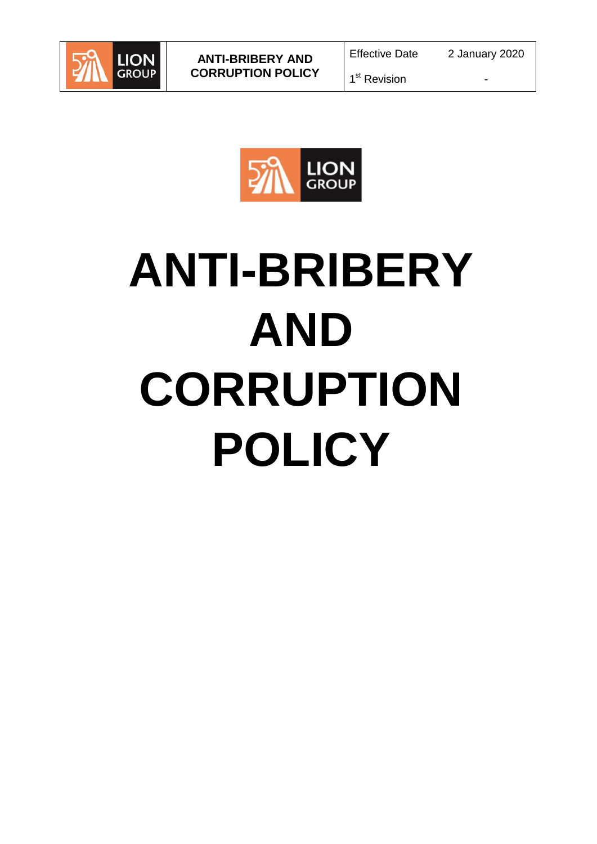



# **ANTI-BRIBERY AND CORRUPTION POLICY**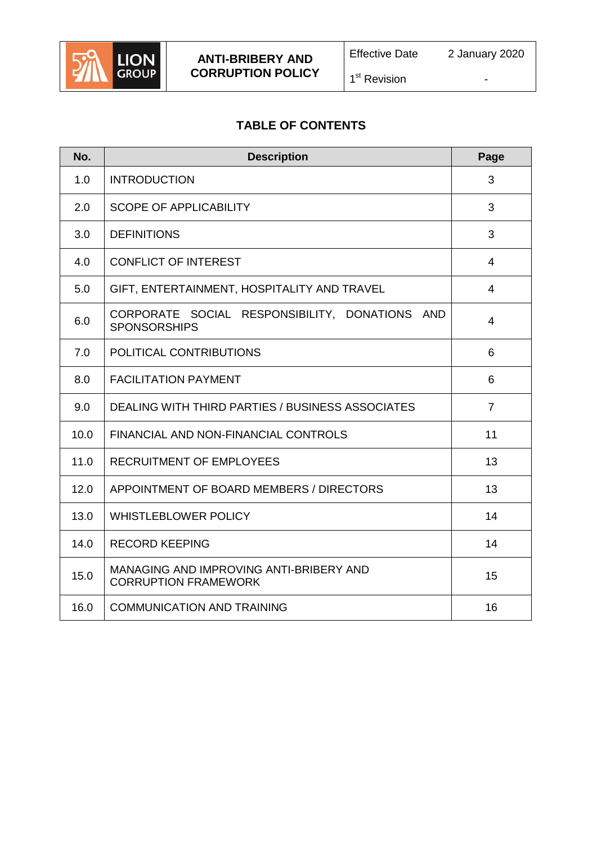

1<sup>st</sup> Revision

# **TABLE OF CONTENTS**

| No.  | <b>Description</b>                                                     | Page           |
|------|------------------------------------------------------------------------|----------------|
| 1.0  | <b>INTRODUCTION</b>                                                    | 3              |
| 2.0  | <b>SCOPE OF APPLICABILITY</b>                                          | 3              |
| 3.0  | <b>DEFINITIONS</b>                                                     | 3              |
| 4.0  | <b>CONFLICT OF INTEREST</b>                                            | $\overline{4}$ |
| 5.0  | GIFT, ENTERTAINMENT, HOSPITALITY AND TRAVEL                            | $\overline{4}$ |
| 6.0  | CORPORATE SOCIAL RESPONSIBILITY, DONATIONS AND<br><b>SPONSORSHIPS</b>  | $\overline{4}$ |
| 7.0  | POLITICAL CONTRIBUTIONS                                                | 6              |
| 8.0  | <b>FACILITATION PAYMENT</b>                                            | 6              |
| 9.0  | <b>DEALING WITH THIRD PARTIES / BUSINESS ASSOCIATES</b>                | $\overline{7}$ |
| 10.0 | FINANCIAL AND NON-FINANCIAL CONTROLS                                   | 11             |
| 11.0 | <b>RECRUITMENT OF EMPLOYEES</b>                                        | 13             |
| 12.0 | APPOINTMENT OF BOARD MEMBERS / DIRECTORS                               | 13             |
| 13.0 | <b>WHISTLEBLOWER POLICY</b>                                            | 14             |
| 14.0 | <b>RECORD KEEPING</b>                                                  | 14             |
| 15.0 | MANAGING AND IMPROVING ANTI-BRIBERY AND<br><b>CORRUPTION FRAMEWORK</b> | 15             |
| 16.0 | <b>COMMUNICATION AND TRAINING</b>                                      | 16             |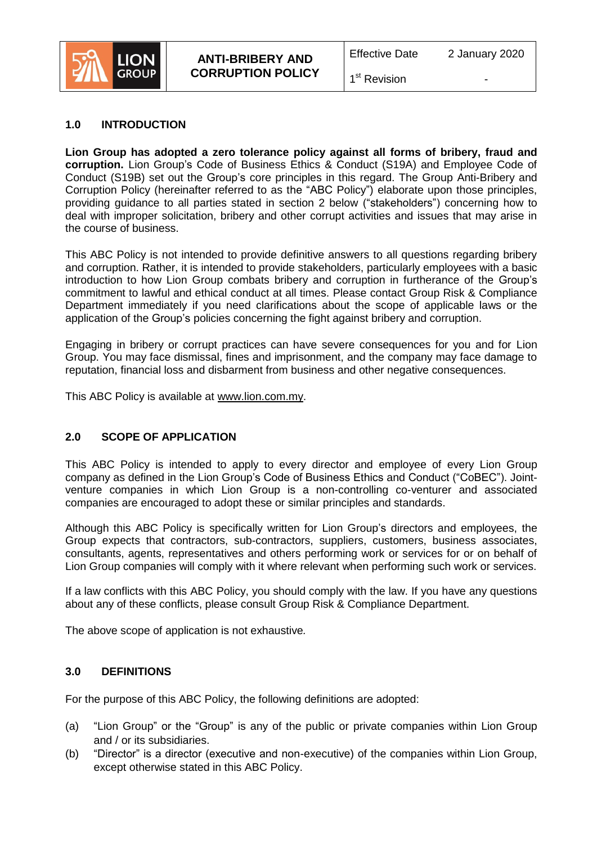

1<sup>st</sup> Revision

### **1.0 INTRODUCTION**

**Lion Group has adopted a zero tolerance policy against all forms of bribery, fraud and corruption.** Lion Group's Code of Business Ethics & Conduct (S19A) and Employee Code of Conduct (S19B) set out the Group's core principles in this regard. The Group Anti-Bribery and Corruption Policy (hereinafter referred to as the "ABC Policy") elaborate upon those principles, providing guidance to all parties stated in section 2 below ("stakeholders") concerning how to deal with improper solicitation, bribery and other corrupt activities and issues that may arise in the course of business.

This ABC Policy is not intended to provide definitive answers to all questions regarding bribery and corruption. Rather, it is intended to provide stakeholders, particularly employees with a basic introduction to how Lion Group combats bribery and corruption in furtherance of the Group's commitment to lawful and ethical conduct at all times. Please contact Group Risk & Compliance Department immediately if you need clarifications about the scope of applicable laws or the application of the Group's policies concerning the fight against bribery and corruption.

Engaging in bribery or corrupt practices can have severe consequences for you and for Lion Group. You may face dismissal, fines and imprisonment, and the company may face damage to reputation, financial loss and disbarment from business and other negative consequences.

This ABC Policy is available at www.lion.com.my.

# **2.0 SCOPE OF APPLICATION**

This ABC Policy is intended to apply to every director and employee of every Lion Group company as defined in the Lion Group's Code of Business Ethics and Conduct ("CoBEC"). Jointventure companies in which Lion Group is a non-controlling co-venturer and associated companies are encouraged to adopt these or similar principles and standards.

Although this ABC Policy is specifically written for Lion Group's directors and employees, the Group expects that contractors, sub-contractors, suppliers, customers, business associates, consultants, agents, representatives and others performing work or services for or on behalf of Lion Group companies will comply with it where relevant when performing such work or services.

If a law conflicts with this ABC Policy, you should comply with the law. If you have any questions about any of these conflicts, please consult Group Risk & Compliance Department.

The above scope of application is not exhaustive*.*

### **3.0 DEFINITIONS**

For the purpose of this ABC Policy, the following definitions are adopted:

- (a) "Lion Group" or the "Group" is any of the public or private companies within Lion Group and / or its subsidiaries.
- (b) "Director" is a director (executive and non-executive) of the companies within Lion Group, except otherwise stated in this ABC Policy.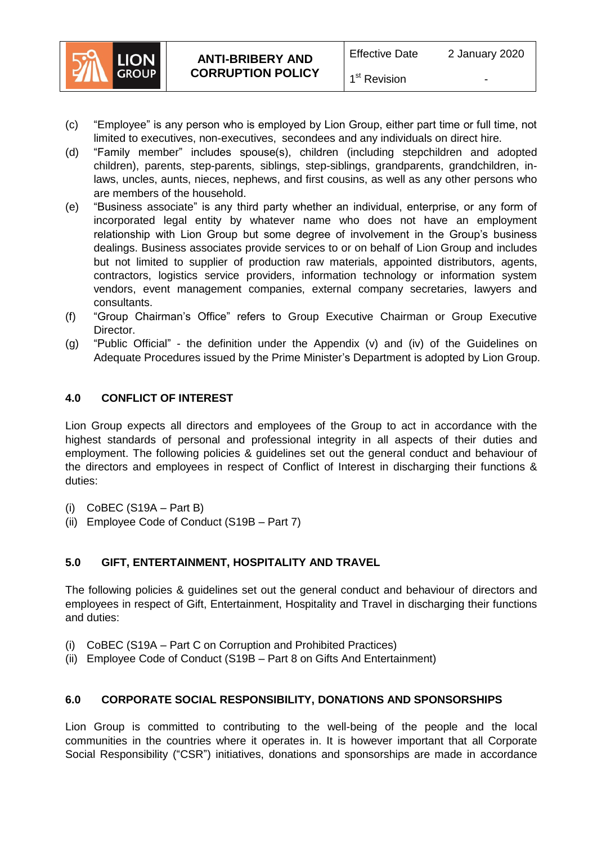

- (c) "Employee" is any person who is employed by Lion Group, either part time or full time, not limited to executives, non-executives, secondees and any individuals on direct hire.
- (d) "Family member" includes spouse(s), children (including stepchildren and adopted children), parents, step-parents, siblings, step-siblings, grandparents, grandchildren, inlaws, uncles, aunts, nieces, nephews, and first cousins, as well as any other persons who are members of the household.
- (e) "Business associate" is any third party whether an individual, enterprise, or any form of incorporated legal entity by whatever name who does not have an employment relationship with Lion Group but some degree of involvement in the Group's business dealings. Business associates provide services to or on behalf of Lion Group and includes but not limited to supplier of production raw materials, appointed distributors, agents, contractors, logistics service providers, information technology or information system vendors, event management companies, external company secretaries, lawyers and consultants.
- (f) "Group Chairman's Office" refers to Group Executive Chairman or Group Executive Director.
- (g) "Public Official" the definition under the Appendix (v) and (iv) of the Guidelines on Adequate Procedures issued by the Prime Minister's Department is adopted by Lion Group.

# **4.0 CONFLICT OF INTEREST**

Lion Group expects all directors and employees of the Group to act in accordance with the highest standards of personal and professional integrity in all aspects of their duties and employment. The following policies & guidelines set out the general conduct and behaviour of the directors and employees in respect of Conflict of Interest in discharging their functions & duties:

- $(i)$  CoBEC (S19A Part B)
- (ii) Employee Code of Conduct (S19B Part 7)

# **5.0 GIFT, ENTERTAINMENT, HOSPITALITY AND TRAVEL**

The following policies & guidelines set out the general conduct and behaviour of directors and employees in respect of Gift, Entertainment, Hospitality and Travel in discharging their functions and duties:

- (i) CoBEC (S19A Part C on Corruption and Prohibited Practices)
- (ii) Employee Code of Conduct (S19B Part 8 on Gifts And Entertainment)

# **6.0 CORPORATE SOCIAL RESPONSIBILITY, DONATIONS AND SPONSORSHIPS**

Lion Group is committed to contributing to the well-being of the people and the local communities in the countries where it operates in. It is however important that all Corporate Social Responsibility ("CSR") initiatives, donations and sponsorships are made in accordance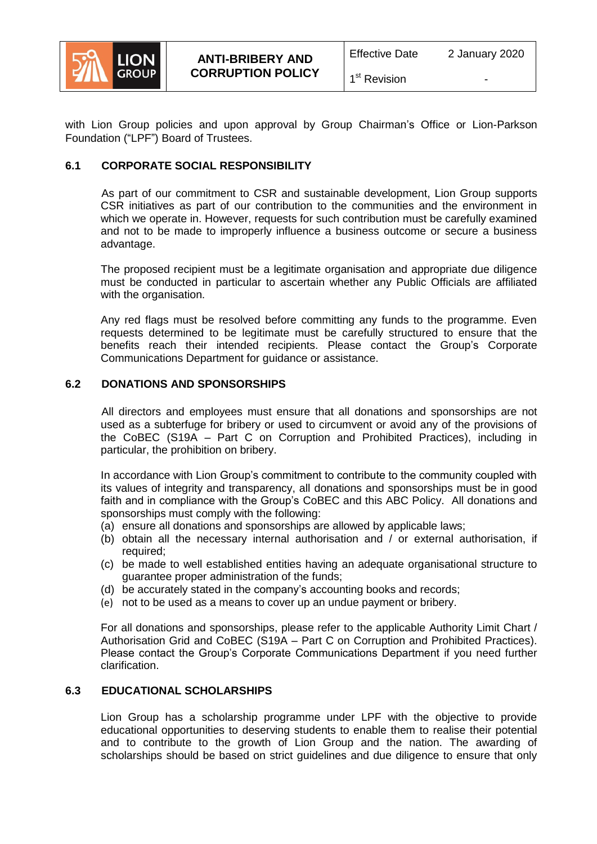

1<sup>st</sup> Revision

with Lion Group policies and upon approval by Group Chairman's Office or Lion-Parkson Foundation ("LPF") Board of Trustees.

# **6.1 CORPORATE SOCIAL RESPONSIBILITY**

As part of our commitment to CSR and sustainable development, Lion Group supports CSR initiatives as part of our contribution to the communities and the environment in which we operate in. However, requests for such contribution must be carefully examined and not to be made to improperly influence a business outcome or secure a business advantage.

The proposed recipient must be a legitimate organisation and appropriate due diligence must be conducted in particular to ascertain whether any Public Officials are affiliated with the organisation.

Any red flags must be resolved before committing any funds to the programme. Even requests determined to be legitimate must be carefully structured to ensure that the benefits reach their intended recipients. Please contact the Group's Corporate Communications Department for guidance or assistance.

# **6.2 DONATIONS AND SPONSORSHIPS**

All directors and employees must ensure that all donations and sponsorships are not used as a subterfuge for bribery or used to circumvent or avoid any of the provisions of the CoBEC (S19A – Part C on Corruption and Prohibited Practices), including in particular, the prohibition on bribery.

In accordance with Lion Group's commitment to contribute to the community coupled with its values of integrity and transparency, all donations and sponsorships must be in good faith and in compliance with the Group's CoBEC and this ABC Policy. All donations and sponsorships must comply with the following:

- (a) ensure all donations and sponsorships are allowed by applicable laws;
- (b) obtain all the necessary internal authorisation and / or external authorisation, if required;
- (c) be made to well established entities having an adequate organisational structure to guarantee proper administration of the funds;
- (d) be accurately stated in the company's accounting books and records;
- (e) not to be used as a means to cover up an undue payment or bribery.

For all donations and sponsorships, please refer to the applicable Authority Limit Chart / Authorisation Grid and CoBEC (S19A – Part C on Corruption and Prohibited Practices). Please contact the Group's Corporate Communications Department if you need further clarification.

### **6.3 EDUCATIONAL SCHOLARSHIPS**

Lion Group has a scholarship programme under LPF with the objective to provide educational opportunities to deserving students to enable them to realise their potential and to contribute to the growth of Lion Group and the nation. The awarding of scholarships should be based on strict guidelines and due diligence to ensure that only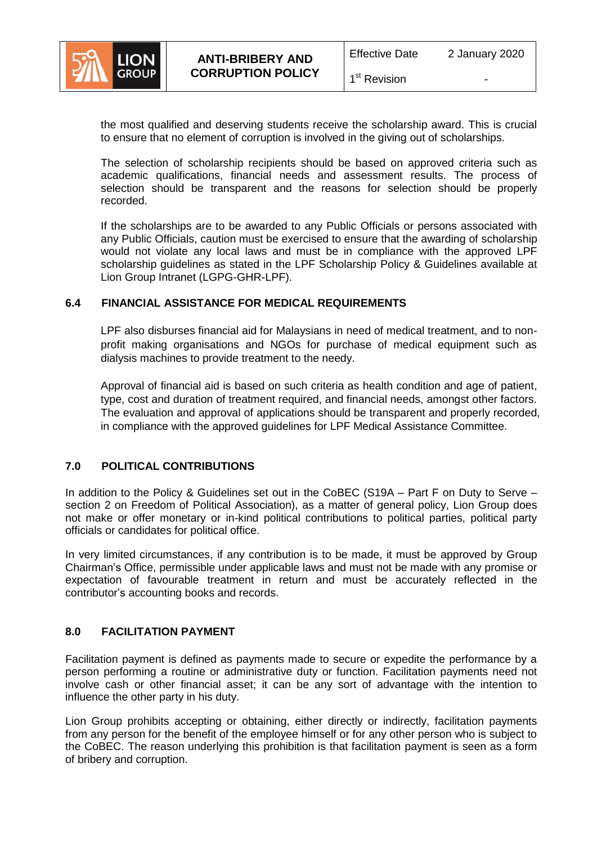

1<sup>st</sup> Revision

the most qualified and deserving students receive the scholarship award. This is crucial to ensure that no element of corruption is involved in the giving out of scholarships.

The selection of scholarship recipients should be based on approved criteria such as academic qualifications, financial needs and assessment results. The process of selection should be transparent and the reasons for selection should be properly recorded.

If the scholarships are to be awarded to any Public Officials or persons associated with any Public Officials, caution must be exercised to ensure that the awarding of scholarship would not violate any local laws and must be in compliance with the approved LPF scholarship guidelines as stated in the LPF Scholarship Policy & Guidelines available at Lion Group Intranet (LGPG-GHR-LPF).

# **6.4 FINANCIAL ASSISTANCE FOR MEDICAL REQUIREMENTS**

LPF also disburses financial aid for Malaysians in need of medical treatment, and to nonprofit making organisations and NGOs for purchase of medical equipment such as dialysis machines to provide treatment to the needy.

Approval of financial aid is based on such criteria as health condition and age of patient, type, cost and duration of treatment required, and financial needs, amongst other factors. The evaluation and approval of applications should be transparent and properly recorded, in compliance with the approved guidelines for LPF Medical Assistance Committee.

# **7.0 POLITICAL CONTRIBUTIONS**

In addition to the Policy & Guidelines set out in the CoBEC (S19A – Part F on Duty to Serve – section 2 on Freedom of Political Association), as a matter of general policy, Lion Group does not make or offer monetary or in-kind political contributions to political parties, political party officials or candidates for political office.

In very limited circumstances, if any contribution is to be made, it must be approved by Group Chairman's Office, permissible under applicable laws and must not be made with any promise or expectation of favourable treatment in return and must be accurately reflected in the contributor's accounting books and records.

# **8.0 FACILITATION PAYMENT**

Facilitation payment is defined as payments made to secure or expedite the performance by a person performing a routine or administrative duty or function. Facilitation payments need not involve cash or other financial asset; it can be any sort of advantage with the intention to influence the other party in his duty.

Lion Group prohibits accepting or obtaining, either directly or indirectly, facilitation payments from any person for the benefit of the employee himself or for any other person who is subject to the CoBEC. The reason underlying this prohibition is that facilitation payment is seen as a form of bribery and corruption.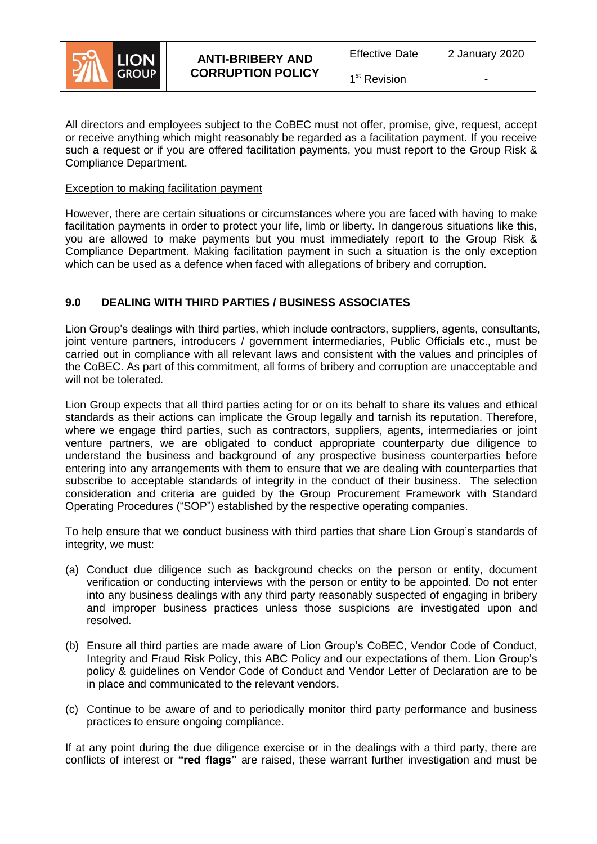

1<sup>st</sup> Revision

All directors and employees subject to the CoBEC must not offer, promise, give, request, accept or receive anything which might reasonably be regarded as a facilitation payment. If you receive such a request or if you are offered facilitation payments, you must report to the Group Risk & Compliance Department.

### Exception to making facilitation payment

However, there are certain situations or circumstances where you are faced with having to make facilitation payments in order to protect your life, limb or liberty. In dangerous situations like this, you are allowed to make payments but you must immediately report to the Group Risk & Compliance Department. Making facilitation payment in such a situation is the only exception which can be used as a defence when faced with allegations of bribery and corruption.

# **9.0 DEALING WITH THIRD PARTIES / BUSINESS ASSOCIATES**

Lion Group's dealings with third parties, which include contractors, suppliers, agents, consultants, joint venture partners, introducers / government intermediaries, Public Officials etc., must be carried out in compliance with all relevant laws and consistent with the values and principles of the CoBEC. As part of this commitment, all forms of bribery and corruption are unacceptable and will not be tolerated.

Lion Group expects that all third parties acting for or on its behalf to share its values and ethical standards as their actions can implicate the Group legally and tarnish its reputation. Therefore, where we engage third parties, such as contractors, suppliers, agents, intermediaries or joint venture partners, we are obligated to conduct appropriate counterparty due diligence to understand the business and background of any prospective business counterparties before entering into any arrangements with them to ensure that we are dealing with counterparties that subscribe to acceptable standards of integrity in the conduct of their business. The selection consideration and criteria are guided by the Group Procurement Framework with Standard Operating Procedures ("SOP") established by the respective operating companies.

To help ensure that we conduct business with third parties that share Lion Group's standards of integrity, we must:

- (a) Conduct due diligence such as background checks on the person or entity, document verification or conducting interviews with the person or entity to be appointed. Do not enter into any business dealings with any third party reasonably suspected of engaging in bribery and improper business practices unless those suspicions are investigated upon and resolved.
- (b) Ensure all third parties are made aware of Lion Group's CoBEC, Vendor Code of Conduct, Integrity and Fraud Risk Policy, this ABC Policy and our expectations of them. Lion Group's policy & guidelines on Vendor Code of Conduct and Vendor Letter of Declaration are to be in place and communicated to the relevant vendors.
- (c) Continue to be aware of and to periodically monitor third party performance and business practices to ensure ongoing compliance.

If at any point during the due diligence exercise or in the dealings with a third party, there are conflicts of interest or **"red flags"** are raised, these warrant further investigation and must be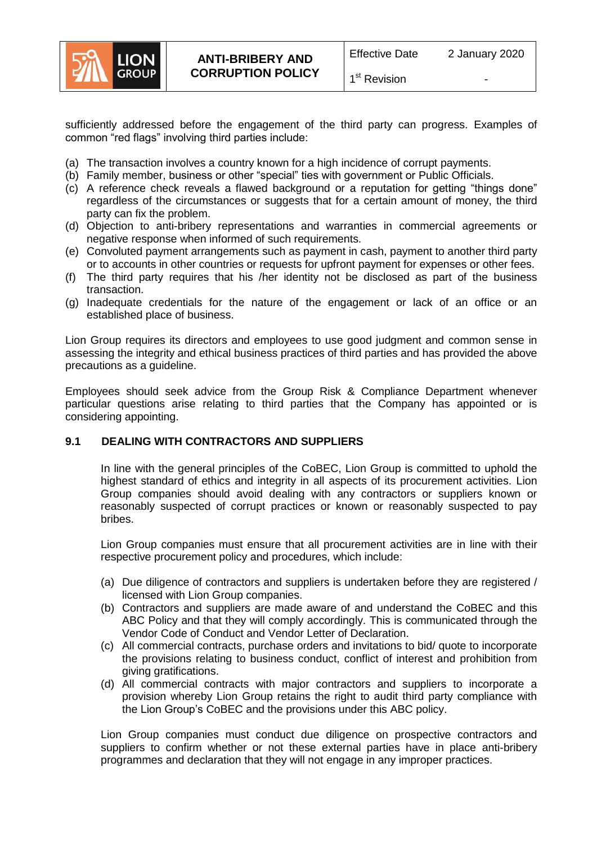

sufficiently addressed before the engagement of the third party can progress. Examples of common "red flags" involving third parties include:

- (a) The transaction involves a country known for a high incidence of corrupt payments.
- (b) Family member, business or other "special" ties with government or Public Officials.
- (c) A reference check reveals a flawed background or a reputation for getting "things done" regardless of the circumstances or suggests that for a certain amount of money, the third party can fix the problem.
- (d) Objection to anti-bribery representations and warranties in commercial agreements or negative response when informed of such requirements.
- (e) Convoluted payment arrangements such as payment in cash, payment to another third party or to accounts in other countries or requests for upfront payment for expenses or other fees.
- (f) The third party requires that his /her identity not be disclosed as part of the business transaction.
- (g) Inadequate credentials for the nature of the engagement or lack of an office or an established place of business.

Lion Group requires its directors and employees to use good judgment and common sense in assessing the integrity and ethical business practices of third parties and has provided the above precautions as a guideline.

Employees should seek advice from the Group Risk & Compliance Department whenever particular questions arise relating to third parties that the Company has appointed or is considering appointing.

# **9.1 DEALING WITH CONTRACTORS AND SUPPLIERS**

In line with the general principles of the CoBEC, Lion Group is committed to uphold the highest standard of ethics and integrity in all aspects of its procurement activities. Lion Group companies should avoid dealing with any contractors or suppliers known or reasonably suspected of corrupt practices or known or reasonably suspected to pay bribes.

Lion Group companies must ensure that all procurement activities are in line with their respective procurement policy and procedures, which include:

- (a) Due diligence of contractors and suppliers is undertaken before they are registered / licensed with Lion Group companies.
- (b) Contractors and suppliers are made aware of and understand the CoBEC and this ABC Policy and that they will comply accordingly. This is communicated through the Vendor Code of Conduct and Vendor Letter of Declaration.
- (c) All commercial contracts, purchase orders and invitations to bid/ quote to incorporate the provisions relating to business conduct, conflict of interest and prohibition from giving gratifications.
- (d) All commercial contracts with major contractors and suppliers to incorporate a provision whereby Lion Group retains the right to audit third party compliance with the Lion Group's CoBEC and the provisions under this ABC policy.

Lion Group companies must conduct due diligence on prospective contractors and suppliers to confirm whether or not these external parties have in place anti-bribery programmes and declaration that they will not engage in any improper practices.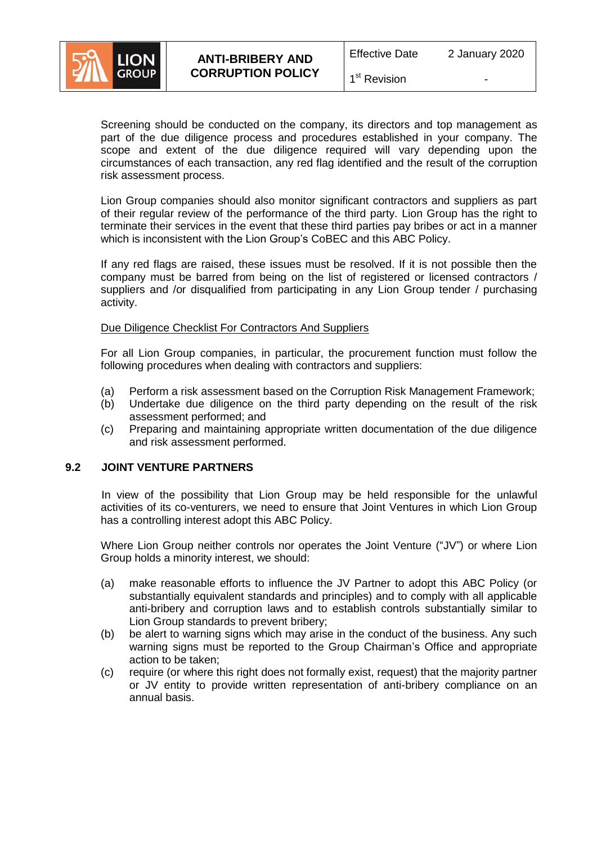

1<sup>st</sup> Revision

Screening should be conducted on the company, its directors and top management as part of the due diligence process and procedures established in your company. The scope and extent of the due diligence required will vary depending upon the circumstances of each transaction, any red flag identified and the result of the corruption risk assessment process.

Lion Group companies should also monitor significant contractors and suppliers as part of their regular review of the performance of the third party. Lion Group has the right to terminate their services in the event that these third parties pay bribes or act in a manner which is inconsistent with the Lion Group's CoBEC and this ABC Policy.

If any red flags are raised, these issues must be resolved. If it is not possible then the company must be barred from being on the list of registered or licensed contractors / suppliers and /or disqualified from participating in any Lion Group tender / purchasing activity.

### Due Diligence Checklist For Contractors And Suppliers

For all Lion Group companies, in particular, the procurement function must follow the following procedures when dealing with contractors and suppliers:

- (a) Perform a risk assessment based on the Corruption Risk Management Framework;
- (b) Undertake due diligence on the third party depending on the result of the risk assessment performed; and
- (c) Preparing and maintaining appropriate written documentation of the due diligence and risk assessment performed.

### **9.2 JOINT VENTURE PARTNERS**

In view of the possibility that Lion Group may be held responsible for the unlawful activities of its co-venturers, we need to ensure that Joint Ventures in which Lion Group has a controlling interest adopt this ABC Policy.

Where Lion Group neither controls nor operates the Joint Venture ("JV") or where Lion Group holds a minority interest, we should:

- (a) make reasonable efforts to influence the JV Partner to adopt this ABC Policy (or substantially equivalent standards and principles) and to comply with all applicable anti-bribery and corruption laws and to establish controls substantially similar to Lion Group standards to prevent bribery;
- (b) be alert to warning signs which may arise in the conduct of the business. Any such warning signs must be reported to the Group Chairman's Office and appropriate action to be taken;
- (c) require (or where this right does not formally exist, request) that the majority partner or JV entity to provide written representation of anti-bribery compliance on an annual basis.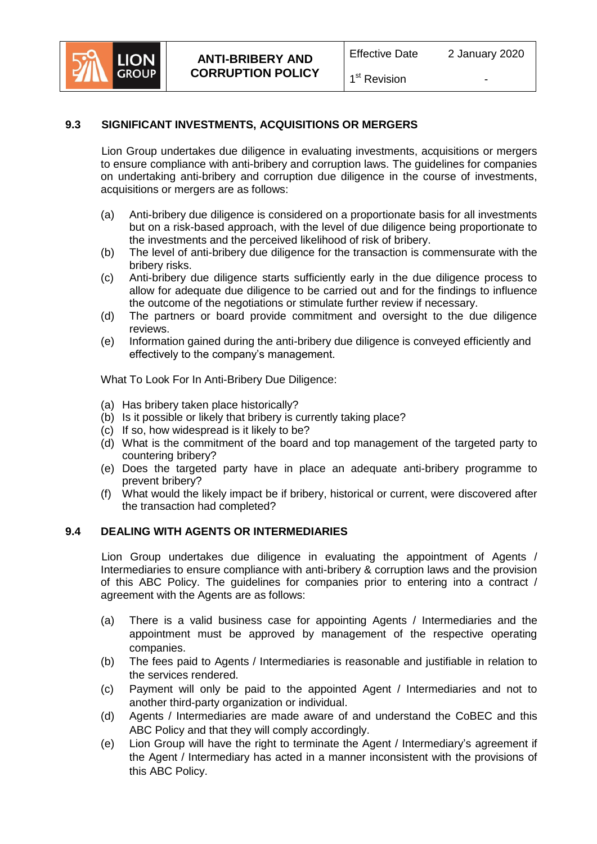

# **9.3 SIGNIFICANT INVESTMENTS, ACQUISITIONS OR MERGERS**

Lion Group undertakes due diligence in evaluating investments, acquisitions or mergers to ensure compliance with anti-bribery and corruption laws. The guidelines for companies on undertaking anti-bribery and corruption due diligence in the course of investments, acquisitions or mergers are as follows:

- (a) Anti-bribery due diligence is considered on a proportionate basis for all investments but on a risk-based approach, with the level of due diligence being proportionate to the investments and the perceived likelihood of risk of bribery.
- (b) The level of anti-bribery due diligence for the transaction is commensurate with the bribery risks.
- (c) Anti-bribery due diligence starts sufficiently early in the due diligence process to allow for adequate due diligence to be carried out and for the findings to influence the outcome of the negotiations or stimulate further review if necessary.
- (d) The partners or board provide commitment and oversight to the due diligence reviews.
- (e) Information gained during the anti-bribery due diligence is conveyed efficiently and effectively to the company's management.

What To Look For In Anti-Bribery Due Diligence:

- (a) Has bribery taken place historically?
- (b) Is it possible or likely that bribery is currently taking place?
- (c) If so, how widespread is it likely to be?
- (d) What is the commitment of the board and top management of the targeted party to countering bribery?
- (e) Does the targeted party have in place an adequate anti-bribery programme to prevent bribery?
- (f) What would the likely impact be if bribery, historical or current, were discovered after the transaction had completed?

### **9.4 DEALING WITH AGENTS OR INTERMEDIARIES**

Lion Group undertakes due diligence in evaluating the appointment of Agents / Intermediaries to ensure compliance with anti-bribery & corruption laws and the provision of this ABC Policy. The guidelines for companies prior to entering into a contract / agreement with the Agents are as follows:

- (a) There is a valid business case for appointing Agents / Intermediaries and the appointment must be approved by management of the respective operating companies.
- (b) The fees paid to Agents / Intermediaries is reasonable and justifiable in relation to the services rendered.
- (c) Payment will only be paid to the appointed Agent / Intermediaries and not to another third-party organization or individual.
- (d) Agents / Intermediaries are made aware of and understand the CoBEC and this ABC Policy and that they will comply accordingly.
- (e) Lion Group will have the right to terminate the Agent / Intermediary's agreement if the Agent / Intermediary has acted in a manner inconsistent with the provisions of this ABC Policy.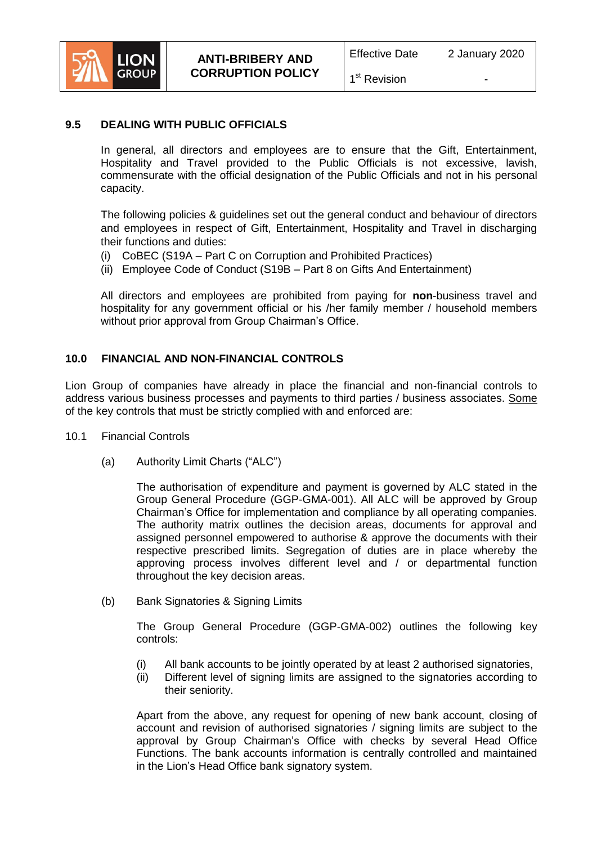

1<sup>st</sup> Revision

### **9.5 DEALING WITH PUBLIC OFFICIALS**

In general, all directors and employees are to ensure that the Gift, Entertainment, Hospitality and Travel provided to the Public Officials is not excessive, lavish, commensurate with the official designation of the Public Officials and not in his personal capacity.

The following policies & guidelines set out the general conduct and behaviour of directors and employees in respect of Gift, Entertainment, Hospitality and Travel in discharging their functions and duties:

- (i) CoBEC (S19A Part C on Corruption and Prohibited Practices)
- (ii) Employee Code of Conduct (S19B Part 8 on Gifts And Entertainment)

All directors and employees are prohibited from paying for **non**-business travel and hospitality for any government official or his /her family member / household members without prior approval from Group Chairman's Office.

### **10.0 FINANCIAL AND NON-FINANCIAL CONTROLS**

Lion Group of companies have already in place the financial and non-financial controls to address various business processes and payments to third parties / business associates. Some of the key controls that must be strictly complied with and enforced are:

- 10.1 Financial Controls
	- (a) Authority Limit Charts ("ALC")

The authorisation of expenditure and payment is governed by ALC stated in the Group General Procedure (GGP-GMA-001). All ALC will be approved by Group Chairman's Office for implementation and compliance by all operating companies. The authority matrix outlines the decision areas, documents for approval and assigned personnel empowered to authorise & approve the documents with their respective prescribed limits. Segregation of duties are in place whereby the approving process involves different level and / or departmental function throughout the key decision areas.

(b) Bank Signatories & Signing Limits

The Group General Procedure (GGP-GMA-002) outlines the following key controls:

- (i) All bank accounts to be jointly operated by at least 2 authorised signatories,
- (ii) Different level of signing limits are assigned to the signatories according to their seniority.

Apart from the above, any request for opening of new bank account, closing of account and revision of authorised signatories / signing limits are subject to the approval by Group Chairman's Office with checks by several Head Office Functions. The bank accounts information is centrally controlled and maintained in the Lion's Head Office bank signatory system.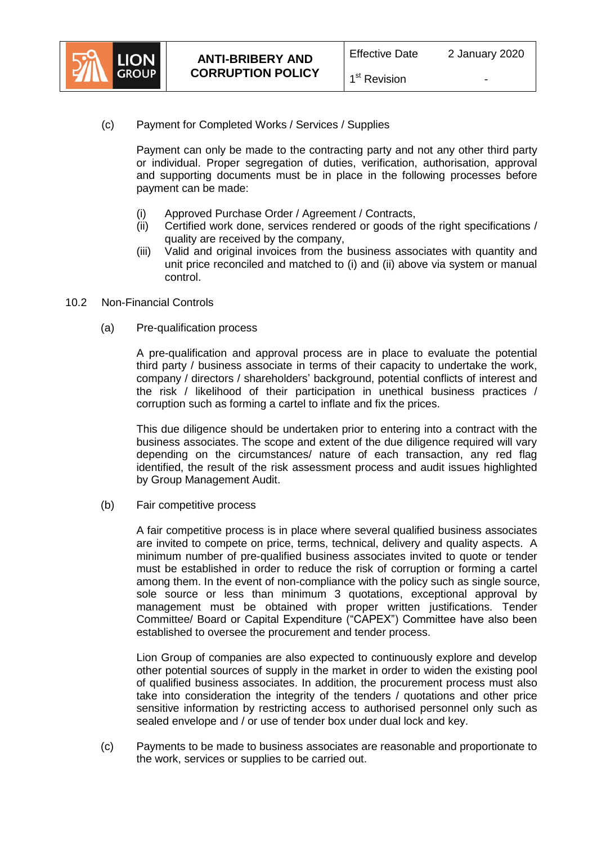

Payment can only be made to the contracting party and not any other third party or individual. Proper segregation of duties, verification, authorisation, approval and supporting documents must be in place in the following processes before payment can be made:

- (i) Approved Purchase Order / Agreement / Contracts,
- (ii) Certified work done, services rendered or goods of the right specifications / quality are received by the company,
- (iii) Valid and original invoices from the business associates with quantity and unit price reconciled and matched to (i) and (ii) above via system or manual control.
- 10.2 Non-Financial Controls
	- (a) Pre-qualification process

A pre-qualification and approval process are in place to evaluate the potential third party / business associate in terms of their capacity to undertake the work, company / directors / shareholders' background, potential conflicts of interest and the risk / likelihood of their participation in unethical business practices / corruption such as forming a cartel to inflate and fix the prices.

This due diligence should be undertaken prior to entering into a contract with the business associates. The scope and extent of the due diligence required will vary depending on the circumstances/ nature of each transaction, any red flag identified, the result of the risk assessment process and audit issues highlighted by Group Management Audit.

(b) Fair competitive process

A fair competitive process is in place where several qualified business associates are invited to compete on price, terms, technical, delivery and quality aspects. A minimum number of pre-qualified business associates invited to quote or tender must be established in order to reduce the risk of corruption or forming a cartel among them. In the event of non-compliance with the policy such as single source, sole source or less than minimum 3 quotations, exceptional approval by management must be obtained with proper written justifications. Tender Committee/ Board or Capital Expenditure ("CAPEX") Committee have also been established to oversee the procurement and tender process.

Lion Group of companies are also expected to continuously explore and develop other potential sources of supply in the market in order to widen the existing pool of qualified business associates. In addition, the procurement process must also take into consideration the integrity of the tenders / quotations and other price sensitive information by restricting access to authorised personnel only such as sealed envelope and / or use of tender box under dual lock and key.

(c) Payments to be made to business associates are reasonable and proportionate to the work, services or supplies to be carried out.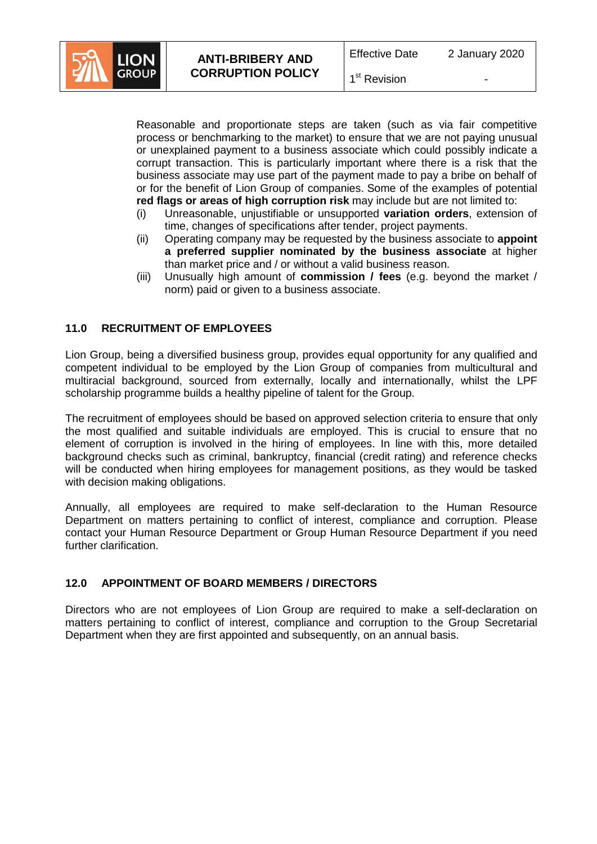

1<sup>st</sup> Revision

Reasonable and proportionate steps are taken (such as via fair competitive process or benchmarking to the market) to ensure that we are not paying unusual or unexplained payment to a business associate which could possibly indicate a corrupt transaction. This is particularly important where there is a risk that the business associate may use part of the payment made to pay a bribe on behalf of or for the benefit of Lion Group of companies. Some of the examples of potential **red flags or areas of high corruption risk** may include but are not limited to:

- (i) Unreasonable, unjustifiable or unsupported **variation orders**, extension of time, changes of specifications after tender, project payments.
- (ii) Operating company may be requested by the business associate to **appoint a preferred supplier nominated by the business associate** at higher than market price and / or without a valid business reason.
- (iii) Unusually high amount of **commission / fees** (e.g. beyond the market / norm) paid or given to a business associate.

# **11.0 RECRUITMENT OF EMPLOYEES**

Lion Group, being a diversified business group, provides equal opportunity for any qualified and competent individual to be employed by the Lion Group of companies from multicultural and multiracial background, sourced from externally, locally and internationally, whilst the LPF scholarship programme builds a healthy pipeline of talent for the Group.

The recruitment of employees should be based on approved selection criteria to ensure that only the most qualified and suitable individuals are employed. This is crucial to ensure that no element of corruption is involved in the hiring of employees. In line with this, more detailed background checks such as criminal, bankruptcy, financial (credit rating) and reference checks will be conducted when hiring employees for management positions, as they would be tasked with decision making obligations.

Annually, all employees are required to make self-declaration to the Human Resource Department on matters pertaining to conflict of interest, compliance and corruption. Please contact your Human Resource Department or Group Human Resource Department if you need further clarification.

### **12.0 APPOINTMENT OF BOARD MEMBERS / DIRECTORS**

Directors who are not employees of Lion Group are required to make a self-declaration on matters pertaining to conflict of interest, compliance and corruption to the Group Secretarial Department when they are first appointed and subsequently, on an annual basis.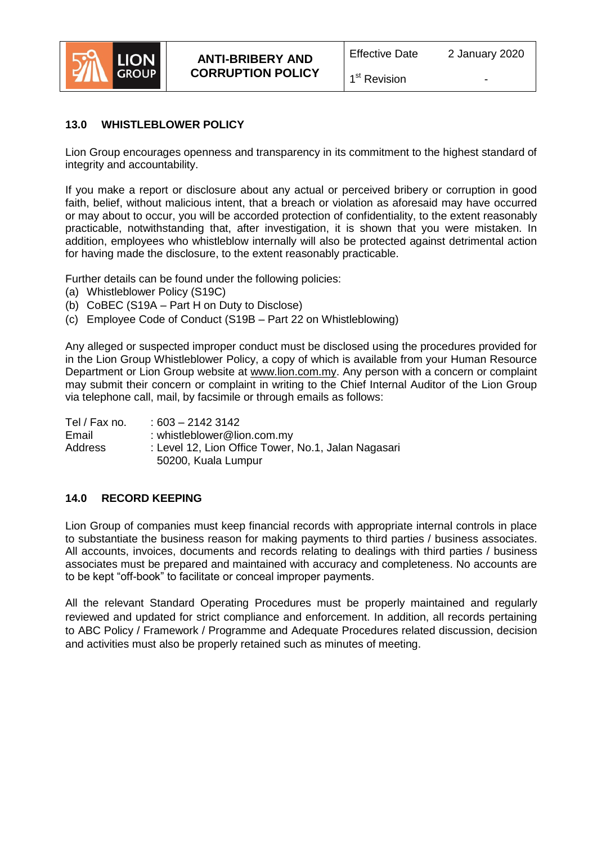

### 1<sup>st</sup> Revision

# **13.0 WHISTLEBLOWER POLICY**

Lion Group encourages openness and transparency in its commitment to the highest standard of integrity and accountability.

If you make a report or disclosure about any actual or perceived bribery or corruption in good faith, belief, without malicious intent, that a breach or violation as aforesaid may have occurred or may about to occur, you will be accorded protection of confidentiality, to the extent reasonably practicable, notwithstanding that, after investigation, it is shown that you were mistaken. In addition, employees who whistleblow internally will also be protected against detrimental action for having made the disclosure, to the extent reasonably practicable.

Further details can be found under the following policies:

- (a) Whistleblower Policy (S19C)
- (b) CoBEC (S19A Part H on Duty to Disclose)
- (c) Employee Code of Conduct (S19B Part 22 on Whistleblowing)

Any alleged or suspected improper conduct must be disclosed using the procedures provided for in the Lion Group Whistleblower Policy, a copy of which is available from your Human Resource Department or Lion Group website at [www.lion.com.my.](http://www.lion.com.my/) Any person with a concern or complaint may submit their concern or complaint in writing to the Chief Internal Auditor of the Lion Group via telephone call, mail, by facsimile or through emails as follows:

Tel / Fax no. : 603 – 2142 3142 Email : [whistleblower@lion.com.my](mailto:whistleblower@lion.com.my) Address : Level 12, Lion Office Tower, No.1, Jalan Nagasari 50200, Kuala Lumpur

# **14.0 RECORD KEEPING**

Lion Group of companies must keep financial records with appropriate internal controls in place to substantiate the business reason for making payments to third parties / business associates. All accounts, invoices, documents and records relating to dealings with third parties / business associates must be prepared and maintained with accuracy and completeness. No accounts are to be kept "off-book" to facilitate or conceal improper payments.

All the relevant Standard Operating Procedures must be properly maintained and regularly reviewed and updated for strict compliance and enforcement. In addition, all records pertaining to ABC Policy / Framework / Programme and Adequate Procedures related discussion, decision and activities must also be properly retained such as minutes of meeting.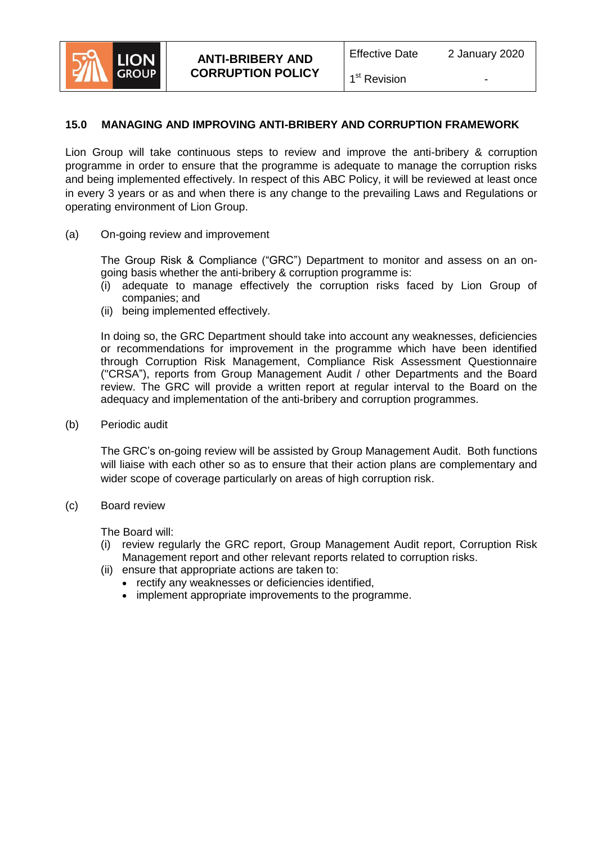

# **15.0 MANAGING AND IMPROVING ANTI-BRIBERY AND CORRUPTION FRAMEWORK**

Lion Group will take continuous steps to review and improve the anti-bribery & corruption programme in order to ensure that the programme is adequate to manage the corruption risks and being implemented effectively. In respect of this ABC Policy, it will be reviewed at least once in every 3 years or as and when there is any change to the prevailing Laws and Regulations or operating environment of Lion Group.

(a) On-going review and improvement

The Group Risk & Compliance ("GRC") Department to monitor and assess on an ongoing basis whether the anti-bribery & corruption programme is:

- (i) adequate to manage effectively the corruption risks faced by Lion Group of companies; and
- (ii) being implemented effectively.

In doing so, the GRC Department should take into account any weaknesses, deficiencies or recommendations for improvement in the programme which have been identified through Corruption Risk Management, Compliance Risk Assessment Questionnaire ("CRSA"), reports from Group Management Audit / other Departments and the Board review. The GRC will provide a written report at regular interval to the Board on the adequacy and implementation of the anti-bribery and corruption programmes.

(b) Periodic audit

The GRC's on-going review will be assisted by Group Management Audit. Both functions will liaise with each other so as to ensure that their action plans are complementary and wider scope of coverage particularly on areas of high corruption risk.

(c) Board review

The Board will:

- (i) review regularly the GRC report, Group Management Audit report, Corruption Risk Management report and other relevant reports related to corruption risks.
- (ii) ensure that appropriate actions are taken to:
	- rectify any weaknesses or deficiencies identified,
	- implement appropriate improvements to the programme.